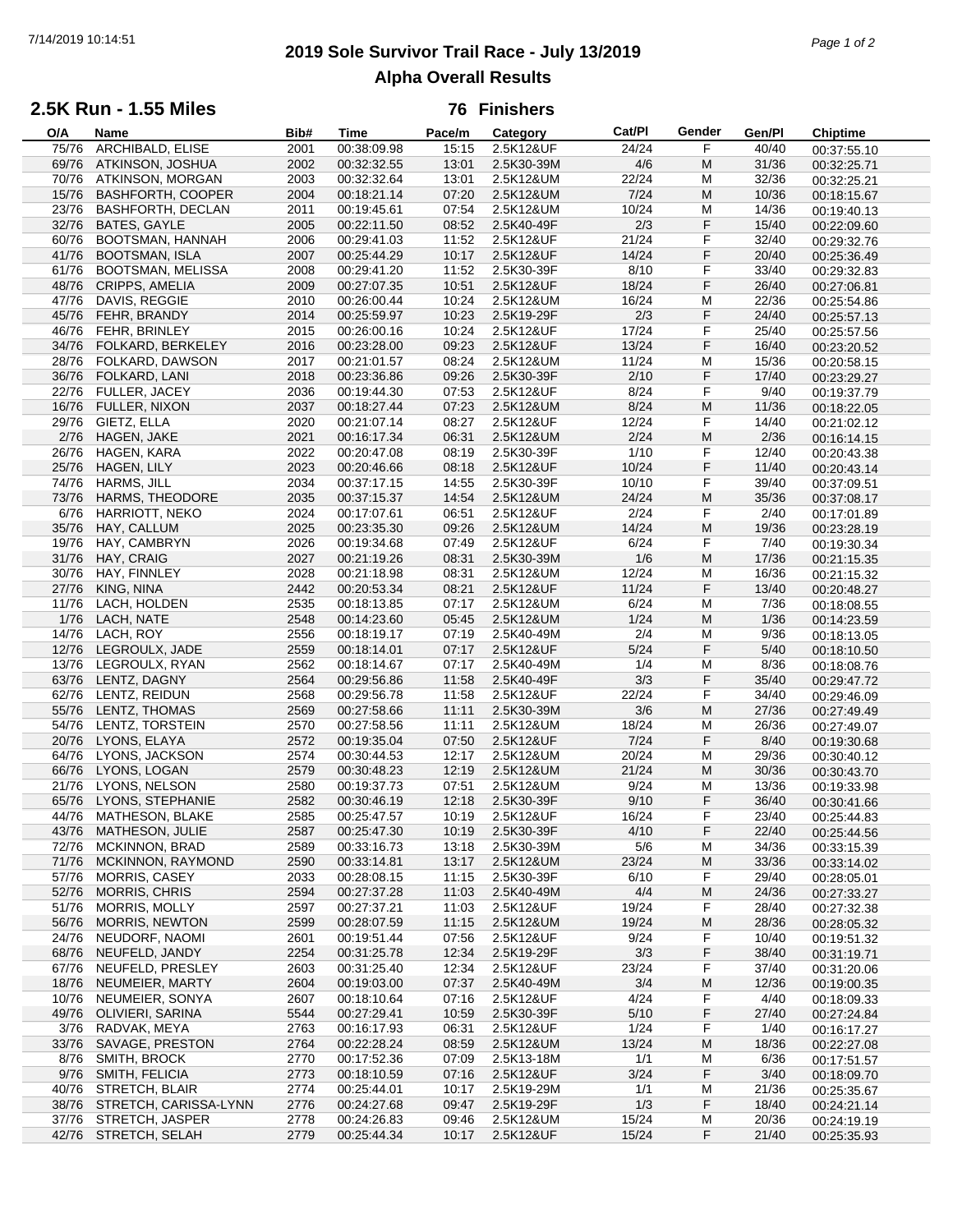# **2019 Sole Survivor Trail Race - July 13/2019** 7/14/2019 10:14:51 *Page 1 of 2* **Alpha Overall Results**

## **2.5K Run - 1.55 Miles**

#### **76 Finishers**

| O/A   | Name                     | Bib# | <b>Time</b> | Pace/m | Category   | Cat/PI | Gender | Gen/Pl | <b>Chiptime</b> |
|-------|--------------------------|------|-------------|--------|------------|--------|--------|--------|-----------------|
| 75/76 | ARCHIBALD, ELISE         | 2001 | 00:38:09.98 | 15:15  | 2.5K12&UF  | 24/24  | F      | 40/40  | 00:37:55.10     |
| 69/76 | ATKINSON, JOSHUA         | 2002 | 00:32:32.55 | 13:01  | 2.5K30-39M | 4/6    | M      | 31/36  | 00:32:25.71     |
| 70/76 | ATKINSON, MORGAN         | 2003 | 00:32:32.64 | 13:01  | 2.5K12&UM  | 22/24  | M      | 32/36  | 00:32:25.21     |
| 15/76 | <b>BASHFORTH, COOPER</b> | 2004 | 00:18:21.14 | 07:20  | 2.5K12&UM  | 7/24   | M      | 10/36  | 00:18:15.67     |
|       |                          |      |             |        |            |        |        |        |                 |
| 23/76 | <b>BASHFORTH, DECLAN</b> | 2011 | 00:19:45.61 | 07:54  | 2.5K12&UM  | 10/24  | М      | 14/36  | 00:19:40.13     |
| 32/76 | BATES, GAYLE             | 2005 | 00:22:11.50 | 08:52  | 2.5K40-49F | 2/3    | F      | 15/40  | 00:22:09.60     |
| 60/76 | <b>BOOTSMAN, HANNAH</b>  | 2006 | 00:29:41.03 | 11:52  | 2.5K12&UF  | 21/24  | F      | 32/40  | 00:29:32.76     |
| 41/76 | <b>BOOTSMAN, ISLA</b>    | 2007 | 00:25:44.29 | 10:17  | 2.5K12&UF  | 14/24  | F      | 20/40  | 00:25:36.49     |
| 61/76 | BOOTSMAN, MELISSA        | 2008 | 00:29:41.20 | 11:52  | 2.5K30-39F | 8/10   | F      | 33/40  | 00:29:32.83     |
| 48/76 | <b>CRIPPS, AMELIA</b>    | 2009 | 00:27:07.35 | 10:51  | 2.5K12&UF  | 18/24  | F      | 26/40  | 00:27:06.81     |
| 47/76 | DAVIS, REGGIE            | 2010 | 00:26:00.44 | 10:24  | 2.5K12&UM  | 16/24  | M      | 22/36  | 00:25:54.86     |
| 45/76 | FEHR, BRANDY             | 2014 | 00:25:59.97 | 10:23  | 2.5K19-29F | 2/3    | F      | 24/40  | 00:25:57.13     |
| 46/76 | FEHR, BRINLEY            | 2015 | 00:26:00.16 | 10:24  | 2.5K12&UF  | 17/24  | F      | 25/40  |                 |
|       |                          |      |             |        |            |        |        |        | 00:25:57.56     |
| 34/76 | FOLKARD, BERKELEY        | 2016 | 00:23:28.00 | 09:23  | 2.5K12&UF  | 13/24  | F      | 16/40  | 00:23:20.52     |
| 28/76 | FOLKARD, DAWSON          | 2017 | 00:21:01.57 | 08:24  | 2.5K12&UM  | 11/24  | M      | 15/36  | 00:20:58.15     |
| 36/76 | FOLKARD, LANI            | 2018 | 00:23:36.86 | 09:26  | 2.5K30-39F | 2/10   | F      | 17/40  | 00:23:29.27     |
| 22/76 | FULLER, JACEY            | 2036 | 00:19:44.30 | 07:53  | 2.5K12&UF  | 8/24   | F      | 9/40   | 00:19:37.79     |
| 16/76 | <b>FULLER, NIXON</b>     | 2037 | 00:18:27.44 | 07:23  | 2.5K12&UM  | 8/24   | M      | 11/36  | 00:18:22.05     |
| 29/76 | GIETZ, ELLA              | 2020 | 00:21:07.14 | 08:27  | 2.5K12&UF  | 12/24  | F      | 14/40  | 00:21:02.12     |
| 2/76  | HAGEN, JAKE              | 2021 | 00:16:17.34 | 06:31  | 2.5K12&UM  | 2/24   | M      | 2/36   | 00:16:14.15     |
| 26/76 | HAGEN, KARA              | 2022 | 00:20:47.08 | 08:19  | 2.5K30-39F | 1/10   | F      | 12/40  | 00:20:43.38     |
|       |                          |      |             |        |            | 10/24  | F      |        |                 |
| 25/76 | HAGEN, LILY              | 2023 | 00:20:46.66 | 08:18  | 2.5K12&UF  |        |        | 11/40  | 00:20:43.14     |
| 74/76 | HARMS, JILL              | 2034 | 00:37:17.15 | 14:55  | 2.5K30-39F | 10/10  | F      | 39/40  | 00:37:09.51     |
| 73/76 | <b>HARMS, THEODORE</b>   | 2035 | 00:37:15.37 | 14:54  | 2.5K12&UM  | 24/24  | M      | 35/36  | 00:37:08.17     |
| 6/76  | HARRIOTT, NEKO           | 2024 | 00:17:07.61 | 06:51  | 2.5K12&UF  | 2/24   | F      | 2/40   | 00:17:01.89     |
| 35/76 | HAY, CALLUM              | 2025 | 00:23:35.30 | 09:26  | 2.5K12&UM  | 14/24  | M      | 19/36  | 00:23:28.19     |
| 19/76 | HAY, CAMBRYN             | 2026 | 00:19:34.68 | 07:49  | 2.5K12&UF  | 6/24   | F      | 7/40   | 00:19:30.34     |
| 31/76 | HAY, CRAIG               | 2027 | 00:21:19.26 | 08:31  | 2.5K30-39M | 1/6    | M      | 17/36  | 00:21:15.35     |
| 30/76 | HAY, FINNLEY             | 2028 | 00:21:18.98 | 08:31  | 2.5K12&UM  | 12/24  | M      | 16/36  |                 |
|       |                          | 2442 |             |        |            |        | F      |        | 00:21:15.32     |
| 27/76 | KING, NINA               |      | 00:20:53.34 | 08:21  | 2.5K12&UF  | 11/24  |        | 13/40  | 00:20:48.27     |
| 11/76 | LACH, HOLDEN             | 2535 | 00:18:13.85 | 07:17  | 2.5K12&UM  | 6/24   | M      | 7/36   | 00:18:08.55     |
| 1/76  | LACH, NATE               | 2548 | 00:14:23.60 | 05:45  | 2.5K12&UM  | 1/24   | M      | 1/36   | 00:14:23.59     |
| 14/76 | LACH, ROY                | 2556 | 00:18:19.17 | 07:19  | 2.5K40-49M | 2/4    | M      | 9/36   | 00:18:13.05     |
| 12/76 | LEGROULX, JADE           | 2559 | 00:18:14.01 | 07:17  | 2.5K12&UF  | 5/24   | F      | 5/40   | 00:18:10.50     |
| 13/76 | LEGROULX, RYAN           | 2562 | 00:18:14.67 | 07:17  | 2.5K40-49M | 1/4    | M      | 8/36   | 00:18:08.76     |
| 63/76 | LENTZ, DAGNY             | 2564 | 00:29:56.86 | 11:58  | 2.5K40-49F | 3/3    | F      | 35/40  | 00:29:47.72     |
| 62/76 | LENTZ, REIDUN            | 2568 | 00:29:56.78 | 11:58  | 2.5K12&UF  | 22/24  | F      | 34/40  | 00:29:46.09     |
| 55/76 | LENTZ, THOMAS            | 2569 | 00:27:58.66 | 11:11  | 2.5K30-39M | 3/6    | M      | 27/36  | 00:27:49.49     |
|       |                          |      |             |        |            |        |        |        |                 |
| 54/76 | LENTZ, TORSTEIN          | 2570 | 00:27:58.56 | 11:11  | 2.5K12&UM  | 18/24  | M      | 26/36  | 00:27:49.07     |
| 20/76 | LYONS, ELAYA             | 2572 | 00:19:35.04 | 07:50  | 2.5K12&UF  | 7/24   | F      | 8/40   | 00:19:30.68     |
| 64/76 | <b>LYONS, JACKSON</b>    | 2574 | 00:30:44.53 | 12:17  | 2.5K12&UM  | 20/24  | М      | 29/36  | 00:30:40.12     |
| 66/76 | LYONS, LOGAN             | 2579 | 00:30:48.23 | 12:19  | 2.5K12&UM  | 21/24  | M      | 30/36  | 00:30:43.70     |
| 21/76 | LYONS, NELSON            | 2580 | 00:19:37.73 | 07:51  | 2.5K12&UM  | 9/24   | M      | 13/36  | 00:19:33.98     |
| 65/76 | LYONS, STEPHANIE         | 2582 | 00:30:46.19 | 12:18  | 2.5K30-39F | 9/10   | F      | 36/40  | 00:30:41.66     |
| 44/76 | MATHESON, BLAKE          | 2585 | 00:25:47.57 | 10:19  | 2.5K12&UF  | 16/24  | F      | 23/40  | 00:25:44.83     |
| 43/76 | MATHESON, JULIE          | 2587 | 00:25:47.30 | 10:19  | 2.5K30-39F | 4/10   | F      | 22/40  | 00:25:44.56     |
| 72/76 | <b>MCKINNON, BRAD</b>    | 2589 | 00:33:16.73 | 13:18  | 2.5K30-39M | $5/6$  | M      | 34/36  | 00:33:15.39     |
| 71/76 | MCKINNON, RAYMOND        | 2590 | 00:33:14.81 | 13:17  | 2.5K12&UM  | 23/24  | M      | 33/36  | 00:33:14.02     |
|       |                          |      |             |        |            |        |        |        |                 |
| 57/76 | <b>MORRIS, CASEY</b>     | 2033 | 00:28:08.15 | 11:15  | 2.5K30-39F | 6/10   | F      | 29/40  | 00:28:05.01     |
| 52/76 | <b>MORRIS, CHRIS</b>     | 2594 | 00:27:37.28 | 11:03  | 2.5K40-49M | 4/4    | M      | 24/36  | 00:27:33.27     |
| 51/76 | <b>MORRIS, MOLLY</b>     | 2597 | 00:27:37.21 | 11:03  | 2.5K12&UF  | 19/24  | F      | 28/40  | 00:27:32.38     |
| 56/76 | <b>MORRIS, NEWTON</b>    | 2599 | 00:28:07.59 | 11:15  | 2.5K12&UM  | 19/24  | M      | 28/36  | 00:28:05.32     |
| 24/76 | NEUDORF, NAOMI           | 2601 | 00:19:51.44 | 07:56  | 2.5K12&UF  | 9/24   | F      | 10/40  | 00:19:51.32     |
| 68/76 | NEUFELD, JANDY           | 2254 | 00:31:25.78 | 12:34  | 2.5K19-29F | 3/3    | F      | 38/40  | 00:31:19.71     |
| 67/76 | NEUFELD, PRESLEY         | 2603 | 00:31:25.40 | 12:34  | 2.5K12&UF  | 23/24  | F      | 37/40  | 00:31:20.06     |
| 18/76 | NEUMEIER, MARTY          | 2604 | 00:19:03.00 | 07:37  | 2.5K40-49M | 3/4    | M      | 12/36  | 00:19:00.35     |
|       | NEUMEIER, SONYA          |      |             |        |            |        |        |        |                 |
| 10/76 |                          | 2607 | 00:18:10.64 | 07:16  | 2.5K12&UF  | 4/24   | F      | 4/40   | 00:18:09.33     |
| 49/76 | OLIVIERI, SARINA         | 5544 | 00:27:29.41 | 10:59  | 2.5K30-39F | 5/10   | F      | 27/40  | 00:27:24.84     |
| 3/76  | RADVAK, MEYA             | 2763 | 00:16:17.93 | 06:31  | 2.5K12&UF  | 1/24   | F      | 1/40   | 00:16:17.27     |
| 33/76 | SAVAGE, PRESTON          | 2764 | 00:22:28.24 | 08:59  | 2.5K12&UM  | 13/24  | M      | 18/36  | 00:22:27.08     |
| 8/76  | SMITH, BROCK             | 2770 | 00:17:52.36 | 07:09  | 2.5K13-18M | 1/1    | M      | 6/36   | 00:17:51.57     |
| 9/76  | SMITH, FELICIA           | 2773 | 00:18:10.59 | 07:16  | 2.5K12&UF  | 3/24   | F      | 3/40   | 00:18:09.70     |
| 40/76 | STRETCH, BLAIR           | 2774 | 00:25:44.01 | 10:17  | 2.5K19-29M | 1/1    | M      | 21/36  | 00:25:35.67     |
| 38/76 | STRETCH, CARISSA-LYNN    | 2776 | 00:24:27.68 | 09:47  | 2.5K19-29F | 1/3    | F      | 18/40  | 00:24:21.14     |
| 37/76 | STRETCH, JASPER          | 2778 | 00:24:26.83 | 09:46  | 2.5K12&UM  | 15/24  | М      | 20/36  |                 |
|       |                          |      | 00:25:44.34 | 10:17  |            |        | F      | 21/40  | 00:24:19.19     |
|       | 42/76 STRETCH, SELAH     | 2779 |             |        | 2.5K12&UF  | 15/24  |        |        | 00:25:35.93     |